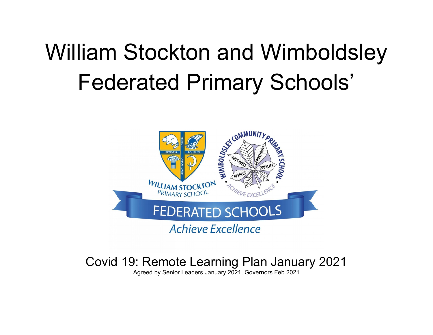# William Stockton and Wimboldsley Federated Primary Schools'



# Covid 19: Remote Learning Plan January 2021

Agreed by Senior Leaders January 2021, Governors Feb 2021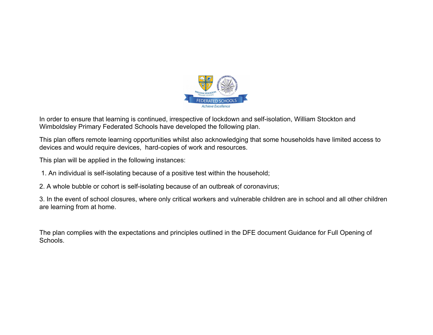

In order to ensure that learning is continued, irrespective of lockdown and self-isolation, William Stockton and Wimboldsley Primary Federated Schools have developed the following plan.

This plan offers remote learning opportunities whilst also acknowledging that some households have limited access to devices and would require devices, hard-copies of work and resources.

This plan will be applied in the following instances:

1. An individual is self-isolating because of a positive test within the household;

2. A whole bubble or cohort is self-isolating because of an outbreak of coronavirus;

3. In the event of school closures, where only critical workers and vulnerable children are in school and all other children are learning from at home.

The plan complies with the expectations and principles outlined in the DFE document Guidance for Full Opening of Schools.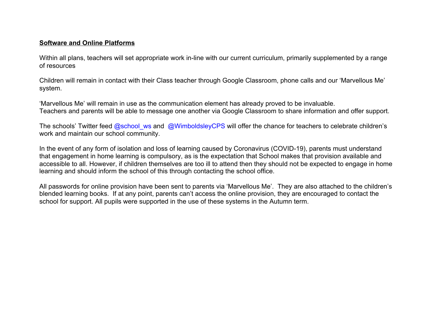#### **Software and Online Platforms**

Within all plans, teachers will set appropriate work in-line with our current curriculum, primarily supplemented by a range of resources

Children will remain in contact with their Class teacher through Google Classroom, phone calls and our 'Marvellous Me' system.

'Marvellous Me' will remain in use as the communication element has already proved to be invaluable. Teachers and parents will be able to message one another via Google Classroom to share information and offer support.

The schools' Twitter feed @school\_ws and @WimboldsleyCPS will offer the chance for teachers to celebrate children's work and maintain our school community.

In the event of any form of isolation and loss of learning caused by Coronavirus (COVID-19), parents must understand that engagement in home learning is compulsory, as is the expectation that School makes that provision available and accessible to all. However, if children themselves are too ill to attend then they should not be expected to engage in home learning and should inform the school of this through contacting the school office.

All passwords for online provision have been sent to parents via 'Marvellous Me'. They are also attached to the children's blended learning books. If at any point, parents can't access the online provision, they are encouraged to contact the school for support. All pupils were supported in the use of these systems in the Autumn term.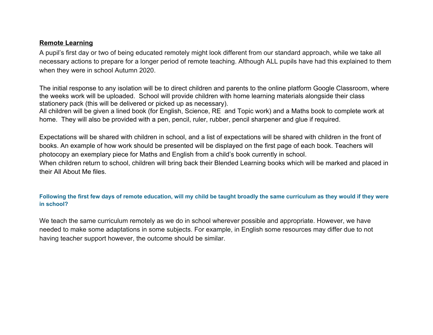#### **Remote Learning**

A pupil's first day or two of being educated remotely might look different from our standard approach, while we take all necessary actions to prepare for a longer period of remote teaching. Although ALL pupils have had this explained to them when they were in school Autumn 2020.

The initial response to any isolation will be to direct children and parents to the online platform Google Classroom, where the weeks work will be uploaded. School will provide children with home learning materials alongside their class stationery pack (this will be delivered or picked up as necessary).

All children will be given a lined book (for English, Science, RE and Topic work) and a Maths book to complete work at home. They will also be provided with a pen, pencil, ruler, rubber, pencil sharpener and glue if required.

Expectations will be shared with children in school, and a list of expectations will be shared with children in the front of books. An example of how work should be presented will be displayed on the first page of each book. Teachers will photocopy an exemplary piece for Maths and English from a child's book currently in school.

When children return to school, children will bring back their Blended Learning books which will be marked and placed in their All About Me files.

#### **Following the first few days of remote education, will my child be taught broadly the same curriculum as they would if they were in school?**

We teach the same curriculum remotely as we do in school wherever possible and appropriate. However, we have needed to make some adaptations in some subjects. For example, in English some resources may differ due to not having teacher support however, the outcome should be similar.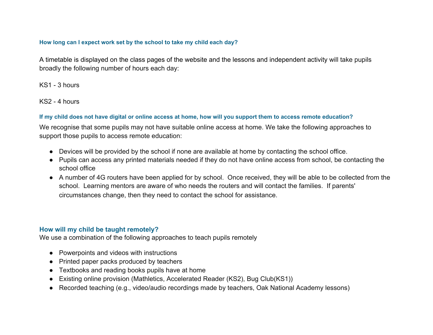#### **How long can I expect work set by the school to take my child each day?**

A timetable is displayed on the class pages of the website and the lessons and independent activity will take pupils broadly the following number of hours each day:

KS1 - 3 hours

KS2 - 4 hours

## **If my child does not have digital or online access at home, how will you support them to access remote education?**

We recognise that some pupils may not have suitable online access at home. We take the following approaches to support those pupils to access remote education:

- Devices will be provided by the school if none are available at home by contacting the school office.
- Pupils can access any printed materials needed if they do not have online access from school, be contacting the school office
- A number of 4G routers have been applied for by school. Once received, they will be able to be collected from the school. Learning mentors are aware of who needs the routers and will contact the families. If parents' circumstances change, then they need to contact the school for assistance.

# **How will my child be taught remotely?**

We use a combination of the following approaches to teach pupils remotely

- Powerpoints and videos with instructions
- Printed paper packs produced by teachers
- Textbooks and reading books pupils have at home
- Existing online provision (Mathletics, Accelerated Reader (KS2), Bug Club(KS1))
- Recorded teaching (e.g., video/audio recordings made by teachers, Oak National Academy lessons)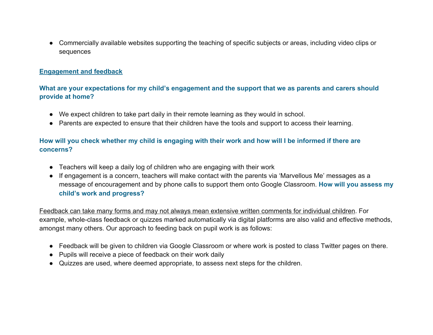● Commercially available websites supporting the teaching of specific subjects or areas, including video clips or sequences

## **Engagement and feedback**

# **What are your expectations for my child's engagement and the support that we as parents and carers should provide at home?**

- We expect children to take part daily in their remote learning as they would in school.
- Parents are expected to ensure that their children have the tools and support to access their learning.

# **How will you check whether my child is engaging with their work and how will I be informed if there are concerns?**

- Teachers will keep a daily log of children who are engaging with their work
- If engagement is a concern, teachers will make contact with the parents via 'Marvellous Me' messages as a message of encouragement and by phone calls to support them onto Google Classroom. **How will you assess my child's work and progress?**

Feedback can take many forms and may not always mean extensive written comments for individual children. For example, whole-class feedback or quizzes marked automatically via digital platforms are also valid and effective methods, amongst many others. Our approach to feeding back on pupil work is as follows:

- Feedback will be given to children via Google Classroom or where work is posted to class Twitter pages on there.
- Pupils will receive a piece of feedback on their work daily
- Quizzes are used, where deemed appropriate, to assess next steps for the children.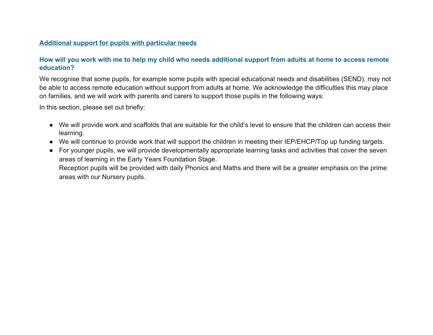#### **Additional support for pupils with particular needs**

# **How will you work with me to help my child who needs additional support from adults at home to access remote education?**

We recognise that some pupils, for example some pupils with special educational needs and disabilities (SEND), may not be able to access remote education without support from adults at home. We acknowledge the difficulties this may place on families, and we will work with parents and carers to support those pupils in the following ways:

In this section, please set out briefly:

- We will provide work and scaffolds that are suitable for the child's level to ensure that the children can access their learning.
- We will continue to provide work that will support the children in meeting their IEP/EHCP/Top up funding targets.
- For younger pupils, we will provide developmentally appropriate learning tasks and activities that cover the seven areas of learning in the Early Years Foundation Stage. Reception pupils will be provided with daily Phonics and Maths and there will be a greater emphasis on the prime areas with our Nursery pupils.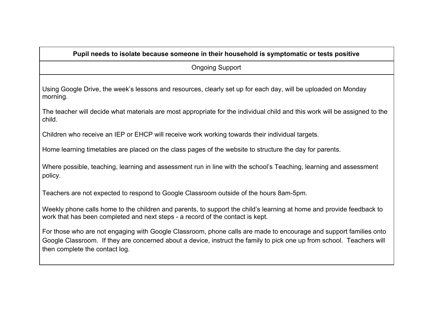| Pupil needs to isolate because someone in their household is symptomatic or tests positive                                                                                                                                                                                   |
|------------------------------------------------------------------------------------------------------------------------------------------------------------------------------------------------------------------------------------------------------------------------------|
| <b>Ongoing Support</b>                                                                                                                                                                                                                                                       |
| Using Google Drive, the week's lessons and resources, clearly set up for each day, will be uploaded on Monday<br>morning.                                                                                                                                                    |
| The teacher will decide what materials are most appropriate for the individual child and this work will be assigned to the<br>child.                                                                                                                                         |
| Children who receive an IEP or EHCP will receive work working towards their individual targets.                                                                                                                                                                              |
| Home learning timetables are placed on the class pages of the website to structure the day for parents.                                                                                                                                                                      |
| Where possible, teaching, learning and assessment run in line with the school's Teaching, learning and assessment<br>policy.                                                                                                                                                 |
| Teachers are not expected to respond to Google Classroom outside of the hours 8am-5pm.                                                                                                                                                                                       |
| Weekly phone calls home to the children and parents, to support the child's learning at home and provide feedback to<br>work that has been completed and next steps - a record of the contact is kept.                                                                       |
| For those who are not engaging with Google Classroom, phone calls are made to encourage and support families onto<br>Google Classroom. If they are concerned about a device, instruct the family to pick one up from school. Teachers will<br>then complete the contact log. |
|                                                                                                                                                                                                                                                                              |